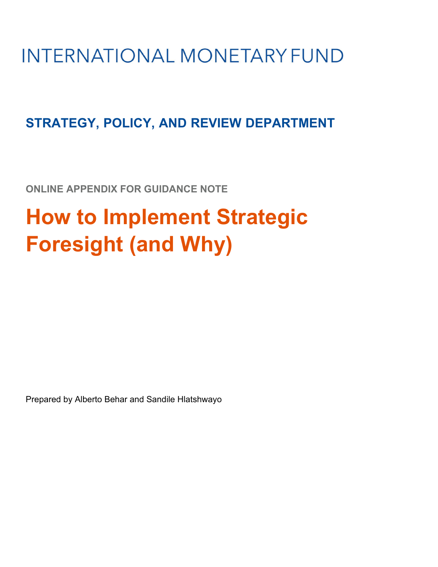# **INTERNATIONAL MONETARY FUND**

## **STRATEGY, POLICY, AND REVIEW DEPARTMENT**

**ONLINE APPENDIX FOR GUIDANCE NOTE**

# **How to Implement Strategic Foresight (and Why)**

Prepared by Alberto Behar and Sandile Hlatshwayo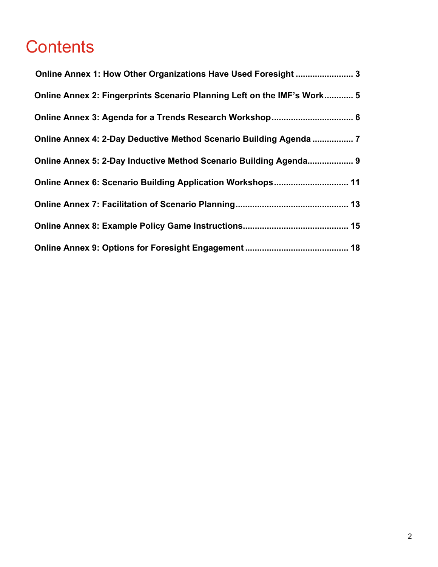## **Contents**

| Online Annex 1: How Other Organizations Have Used Foresight  3          |  |
|-------------------------------------------------------------------------|--|
| Online Annex 2: Fingerprints Scenario Planning Left on the IMF's Work 5 |  |
| Online Annex 3: Agenda for a Trends Research Workshop 6                 |  |
| Online Annex 4: 2-Day Deductive Method Scenario Building Agenda  7      |  |
| Online Annex 5: 2-Day Inductive Method Scenario Building Agenda 9       |  |
| Online Annex 6: Scenario Building Application Workshops 11              |  |
|                                                                         |  |
|                                                                         |  |
|                                                                         |  |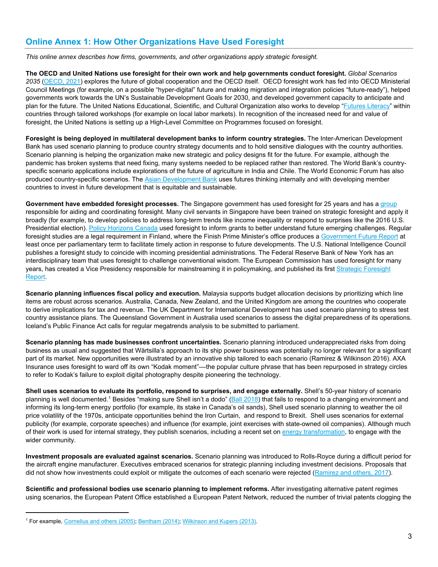## **Online Annex 1: How Other Organizations Have Used Foresight**

*This online annex describes how firms, governments, and other organizations apply strategic foresight.* 

**The OECD and United Nations use foresight for their own work and help governments conduct foresight.** *Global Scenarios 2035* (OECD, 2021) explores the future of global cooperation and the OECD itself. OECD foresight work has fed into OECD Ministerial Council Meetings (for example, on a possible "hyper-digital" future and making migration and integration policies "future-ready"), helped governments work towards the UN's Sustainable Development Goals for 2030, and developed government capacity to anticipate and plan for the future. The United Nations Educational, Scientific, and Cultural Organization also works to develop "Futures Literacy" within countries through tailored workshops (for example on local labor markets). In recognition of the increased need for and value of foresight, the United Nations is setting up a High-Level Committee on Programmes focused on foresight.

**Foresight is being deployed in multilateral development banks to inform country strategies.** The Inter-American Development Bank has used scenario planning to produce country strategy documents and to hold sensitive dialogues with the country authorities. Scenario planning is helping the organization make new strategic and policy designs fit for the future. For example, although the pandemic has broken systems that need fixing, many systems needed to be replaced rather than restored. The World Bank's countryspecific scenario applications include explorations of the future of agriculture in India and Chile. The World Economic Forum has also produced country-specific scenarios. The Asian Development Bank uses futures thinking internally and with developing member countries to invest in future development that is equitable and sustainable.

**Government have embedded foresight processes.** The Singapore government has used foresight for 25 years and has a group responsible for aiding and coordinating foresight. Many civil servants in Singapore have been trained on strategic foresight and apply it broadly (for example, to develop policies to address long-term trends like income inequality or respond to surprises like the 2016 U.S. Presidential election). Policy Horizons Canada used foresight to inform grants to better understand future emerging challenges. Regular foresight studies are a legal requirement in Finland, where the Finish Prime Minister's office produces a Government Future Report at least once per parliamentary term to facilitate timely action in response to future developments. The U.S. National Intelligence Council publishes a foresight study to coincide with incoming presidential administrations. The Federal Reserve Bank of New York has an interdisciplinary team that uses foresight to challenge conventional wisdom. The European Commission has used foresight for many years, has created a Vice Presidency responsible for mainstreaming it in policymaking, and published its first Strategic Foresight Report.

**Scenario planning influences fiscal policy and execution.** Malaysia supports budget allocation decisions by prioritizing which line items are robust across scenarios. Australia, Canada, New Zealand, and the United Kingdom are among the countries who cooperate to derive implications for tax and revenue. The UK Department for International Development has used scenario planning to stress test country assistance plans. The Queensland Government in Australia used scenarios to assess the digital preparedness of its operations. Iceland's Public Finance Act calls for regular megatrends analysis to be submitted to parliament.

**Scenario planning has made businesses confront uncertainties.** Scenario planning introduced underappreciated risks from doing business as usual and suggested that Wärtsilla's approach to its ship power business was potentially no longer relevant for a significant part of its market. New opportunities were illustrated by an innovative ship tailored to each scenario (Ramirez & Wilkinson 2016). AXA Insurance uses foresight to ward off its own "Kodak moment"––the popular culture phrase that has been repurposed in strategy circles to refer to Kodak's failure to exploit digital photography despite pioneering the technology.

**Shell uses scenarios to evaluate its portfolio, respond to surprises, and engage externally.** Shell's 50-year history of scenario planning is well documented.<sup>1</sup> Besides "making sure Shell isn't a dodo" (Ball 2018) that fails to respond to a changing environment and informing its long-term energy portfolio (for example, its stake in Canada's oil sands), Shell used scenario planning to weather the oil price volatility of the 1970s, anticipate opportunities behind the Iron Curtain, and respond to Brexit. Shell uses scenarios for external publicity (for example, corporate speeches) and influence (for example, joint exercises with state-owned oil companies). Although much of their work is used for internal strategy, they publish scenarios, including a recent set on energy transformation, to engage with the wider community.

**Investment proposals are evaluated against scenarios.** Scenario planning was introduced to Rolls-Royce during a difficult period for the aircraft engine manufacturer. Executives embraced scenarios for strategic planning including investment decisions. Proposals that did not show how investments could exploit or mitigate the outcomes of each scenario were rejected (Ramirez and others, 2017).

**Scientific and professional bodies use scenario planning to implement reforms.** After investigating alternative patent regimes using scenarios, the European Patent Office established a European Patent Network, reduced the number of trivial patents clogging the

<sup>&</sup>lt;sup>1</sup> For example, Cornelius and others (2005); Bentham (2014); Wilkinson and Kupers (2013).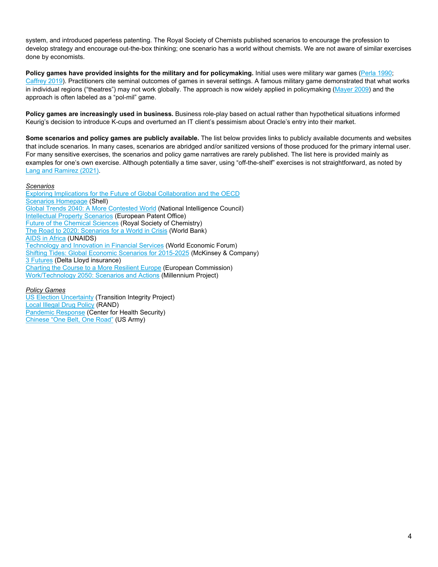system, and introduced paperless patenting. The Royal Society of Chemists published scenarios to encourage the profession to develop strategy and encourage out-the-box thinking; one scenario has a world without chemists. We are not aware of similar exercises done by economists.

**Policy games have provided insights for the military and for policymaking.** Initial uses were military war games (Perla 1990; Caffrey 2019). Practitioners cite seminal outcomes of games in several settings. A famous military game demonstrated that what works in individual regions ("theatres") may not work globally. The approach is now widely applied in policymaking (Mayer 2009) and the approach is often labeled as a "pol-mil" game.

**Policy games are increasingly used in business.** Business role-play based on actual rather than hypothetical situations informed Keurig's decision to introduce K-cups and overturned an IT client's pessimism about Oracle's entry into their market.

**Some scenarios and policy games are publicly available.** The list below provides links to publicly available documents and websites that include scenarios. In many cases, scenarios are abridged and/or sanitized versions of those produced for the primary internal user. For many sensitive exercises, the scenarios and policy game narratives are rarely published. The list here is provided mainly as examples for one's own exercise. Although potentially a time saver, using "off-the-shelf" exercises is not straightforward, as noted by Lang and Ramirez (2021).

#### *Scenarios*

Exploring Implications for the Future of Global Collaboration and the OECD **Scenarios Homepage (Shell)** Global Trends 2040: A More Contested World (National Intelligence Council) Intellectual Property Scenarios (European Patent Office) Future of the Chemical Sciences (Royal Society of Chemistry) The Road to 2020: Scenarios for a World in Crisis (World Bank) AIDS in Africa (UNAIDS) Technology and Innovation in Financial Services (World Economic Forum) Shifting Tides: Global Economic Scenarios for 2015-2025 (McKinsey & Company) 3 Futures (Delta Lloyd insurance) Charting the Course to a More Resilient Europe (European Commission) Work/Technology 2050: Scenarios and Actions (Millennium Project)

#### *Policy Games*

US Election Uncertainty (Transition Integrity Project) Local Illegal Drug Policy (RAND) Pandemic Response (Center for Health Security) Chinese "One Belt, One Road" (US Army)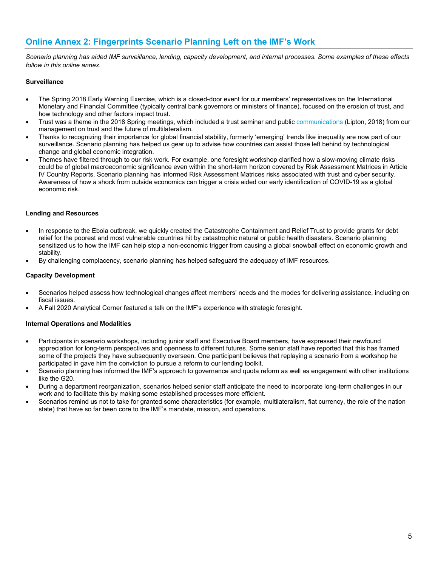## **Online Annex 2: Fingerprints Scenario Planning Left on the IMF's Work**

*Scenario planning has aided IMF surveillance, lending, capacity development, and internal processes. Some examples of these effects follow in this online annex.* 

#### **Surveillance**

- The Spring 2018 Early Warning Exercise, which is a closed-door event for our members' representatives on the International Monetary and Financial Committee (typically central bank governors or ministers of finance), focused on the erosion of trust, and how technology and other factors impact trust.
- Trust was a theme in the 2018 Spring meetings, which included a trust seminar and public communications (Lipton, 2018) from our management on trust and the future of multilateralism.
- Thanks to recognizing their importance for global financial stability, formerly 'emerging' trends like inequality are now part of our surveillance. Scenario planning has helped us gear up to advise how countries can assist those left behind by technological change and global economic integration.
- Themes have filtered through to our risk work. For example, one foresight workshop clarified how a slow-moving climate risks could be of global macroeconomic significance even within the short-term horizon covered by Risk Assessment Matrices in Article IV Country Reports. Scenario planning has informed Risk Assessment Matrices risks associated with trust and cyber security. Awareness of how a shock from outside economics can trigger a crisis aided our early identification of COVID-19 as a global economic risk.

#### **Lending and Resources**

- In response to the Ebola outbreak, we quickly created the Catastrophe Containment and Relief Trust to provide grants for debt relief for the poorest and most vulnerable countries hit by catastrophic natural or public health disasters. Scenario planning sensitized us to how the IMF can help stop a non-economic trigger from causing a global snowball effect on economic growth and stability.
- By challenging complacency, scenario planning has helped safeguard the adequacy of IMF resources.

#### **Capacity Development**

- Scenarios helped assess how technological changes affect members' needs and the modes for delivering assistance, including on fiscal issues.
- A Fall 2020 Analytical Corner featured a talk on the IMF's experience with strategic foresight.

#### **Internal Operations and Modalities**

- Participants in scenario workshops, including junior staff and Executive Board members, have expressed their newfound appreciation for long-term perspectives and openness to different futures. Some senior staff have reported that this has framed some of the projects they have subsequently overseen. One participant believes that replaying a scenario from a workshop he participated in gave him the conviction to pursue a reform to our lending toolkit.
- Scenario planning has informed the IMF's approach to governance and quota reform as well as engagement with other institutions like the G20.
- During a department reorganization, scenarios helped senior staff anticipate the need to incorporate long-term challenges in our work and to facilitate this by making some established processes more efficient.
- Scenarios remind us not to take for granted some characteristics (for example, multilateralism, fiat currency, the role of the nation state) that have so far been core to the IMF's mandate, mission, and operations.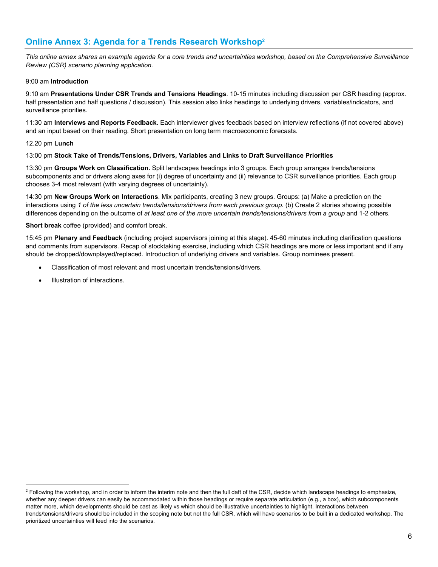## **Online Annex 3: Agenda for a Trends Research Workshop2**

*This online annex shares an example agenda for a core trends and uncertainties workshop, based on the Comprehensive Surveillance Review (CSR) scenario planning application.* 

#### 9:00 am **Introduction**

9:10 am **Presentations Under CSR Trends and Tensions Headings**. 10-15 minutes including discussion per CSR heading (approx. half presentation and half questions / discussion). This session also links headings to underlying drivers, variables/indicators, and surveillance priorities.

11:30 am **Interviews and Reports Feedback**. Each interviewer gives feedback based on interview reflections (if not covered above) and an input based on their reading. Short presentation on long term macroeconomic forecasts.

#### 12.20 pm **Lunch**

#### 13:00 pm **Stock Take of Trends/Tensions, Drivers, Variables and Links to Draft Surveillance Priorities**

13:30 pm **Groups Work on Classification.** Split landscapes headings into 3 groups. Each group arranges trends/tensions subcomponents and or drivers along axes for (i) degree of uncertainty and (ii) relevance to CSR surveillance priorities. Each group chooses 3-4 most relevant (with varying degrees of uncertainty).

14:30 pm **New Groups Work on Interactions**. Mix participants, creating 3 new groups. Groups: (a) Make a prediction on the interactions using *1 of the less uncertain trends/tensions/drivers from each previous group*. (b) Create 2 stories showing possible differences depending on the outcome of *at least one of the more uncertain trends/tensions/drivers from a group* and 1-2 others.

#### **Short break** coffee (provided) and comfort break.

15:45 pm **Plenary and Feedback** (including project supervisors joining at this stage). 45-60 minutes including clarification questions and comments from supervisors. Recap of stocktaking exercise, including which CSR headings are more or less important and if any should be dropped/downplayed/replaced. Introduction of underlying drivers and variables. Group nominees present.

- Classification of most relevant and most uncertain trends/tensions/drivers.
- Illustration of interactions.

 $^2$  Following the workshop, and in order to inform the interim note and then the full daft of the CSR, decide which landscape headings to emphasize, whether any deeper drivers can easily be accommodated within those headings or require separate articulation (e.g., a box), which subcomponents matter more, which developments should be cast as likely vs which should be illustrative uncertainties to highlight. Interactions between trends/tensions/drivers should be included in the scoping note but not the full CSR, which will have scenarios to be built in a dedicated workshop. The prioritized uncertainties will feed into the scenarios.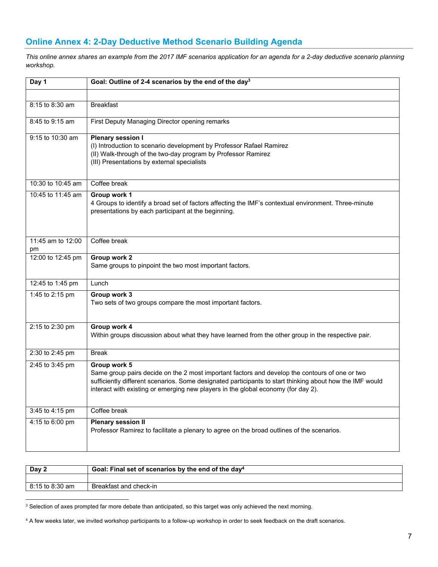## **Online Annex 4: 2-Day Deductive Method Scenario Building Agenda**

*This online annex shares an example from the 2017 IMF scenarios application for an agenda for a 2-day deductive scenario planning workshop.* 

| Day 1             | Goal: Outline of 2-4 scenarios by the end of the day <sup>3</sup>                                                                                                                                                                                                                                               |  |  |  |  |
|-------------------|-----------------------------------------------------------------------------------------------------------------------------------------------------------------------------------------------------------------------------------------------------------------------------------------------------------------|--|--|--|--|
|                   |                                                                                                                                                                                                                                                                                                                 |  |  |  |  |
| 8:15 to 8:30 am   | <b>Breakfast</b>                                                                                                                                                                                                                                                                                                |  |  |  |  |
| 8:45 to 9:15 am   | First Deputy Managing Director opening remarks                                                                                                                                                                                                                                                                  |  |  |  |  |
| 9:15 to 10:30 am  | <b>Plenary session I</b><br>(I) Introduction to scenario development by Professor Rafael Ramirez<br>(II) Walk-through of the two-day program by Professor Ramirez<br>(III) Presentations by external specialists                                                                                                |  |  |  |  |
| 10:30 to 10:45 am | Coffee break                                                                                                                                                                                                                                                                                                    |  |  |  |  |
| 10:45 to 11:45 am | Group work 1<br>4 Groups to identify a broad set of factors affecting the IMF's contextual environment. Three-minute<br>presentations by each participant at the beginning.                                                                                                                                     |  |  |  |  |
| 11:45 am to 12:00 | Coffee break                                                                                                                                                                                                                                                                                                    |  |  |  |  |
| pm                |                                                                                                                                                                                                                                                                                                                 |  |  |  |  |
| 12:00 to 12:45 pm | Group work 2<br>Same groups to pinpoint the two most important factors.                                                                                                                                                                                                                                         |  |  |  |  |
| 12:45 to 1:45 pm  | Lunch                                                                                                                                                                                                                                                                                                           |  |  |  |  |
| 1:45 to 2:15 pm   | Group work 3<br>Two sets of two groups compare the most important factors.                                                                                                                                                                                                                                      |  |  |  |  |
| 2:15 to 2:30 pm   | Group work 4<br>Within groups discussion about what they have learned from the other group in the respective pair.                                                                                                                                                                                              |  |  |  |  |
| 2:30 to 2:45 pm   | <b>Break</b>                                                                                                                                                                                                                                                                                                    |  |  |  |  |
| 2:45 to 3:45 pm   | Group work 5<br>Same group pairs decide on the 2 most important factors and develop the contours of one or two<br>sufficiently different scenarios. Some designated participants to start thinking about how the IMF would<br>interact with existing or emerging new players in the global economy (for day 2). |  |  |  |  |
| 3:45 to 4:15 pm   | Coffee break                                                                                                                                                                                                                                                                                                    |  |  |  |  |
| 4:15 to 6:00 pm   | <b>Plenary session II</b><br>Professor Ramirez to facilitate a plenary to agree on the broad outlines of the scenarios.                                                                                                                                                                                         |  |  |  |  |

| Day 2           | Goal: Final set of scenarios by the end of the day <sup>4</sup> |  |  |  |  |
|-----------------|-----------------------------------------------------------------|--|--|--|--|
|                 |                                                                 |  |  |  |  |
| 8:15 to 8:30 am | Breakfast and check-in                                          |  |  |  |  |

 $3$  Selection of axes prompted far more debate than anticipated, so this target was only achieved the next morning.

<sup>4</sup> A few weeks later, we invited workshop participants to a follow-up workshop in order to seek feedback on the draft scenarios.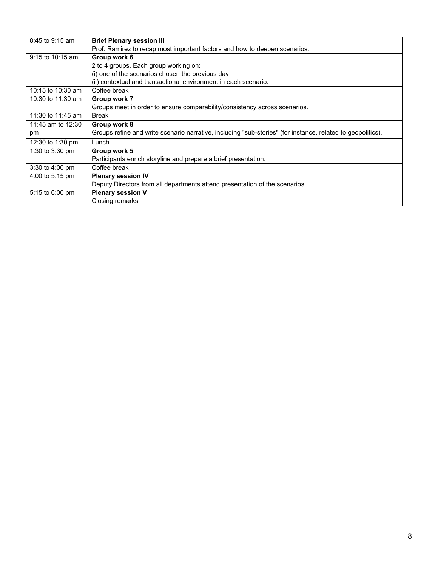| 8:45 to 9:15 am            | <b>Brief Plenary session III</b>                                                                            |  |  |  |  |  |  |
|----------------------------|-------------------------------------------------------------------------------------------------------------|--|--|--|--|--|--|
|                            | Prof. Ramirez to recap most important factors and how to deepen scenarios.                                  |  |  |  |  |  |  |
| $9:15$ to 10:15 am         | Group work 6                                                                                                |  |  |  |  |  |  |
|                            | 2 to 4 groups. Each group working on:                                                                       |  |  |  |  |  |  |
|                            | (i) one of the scenarios chosen the previous day                                                            |  |  |  |  |  |  |
|                            | (ii) contextual and transactional environment in each scenario.                                             |  |  |  |  |  |  |
| 10:15 to 10:30 am          | Coffee break                                                                                                |  |  |  |  |  |  |
| 10:30 to 11:30 am          | Group work 7                                                                                                |  |  |  |  |  |  |
|                            | Groups meet in order to ensure comparability/consistency across scenarios.                                  |  |  |  |  |  |  |
| 11:30 to 11:45 am<br>Break |                                                                                                             |  |  |  |  |  |  |
| 11:45 am to 12:30          | Group work 8                                                                                                |  |  |  |  |  |  |
| pm                         | Groups refine and write scenario narrative, including "sub-stories" (for instance, related to geopolitics). |  |  |  |  |  |  |
| 12:30 to 1:30 pm           | Lunch                                                                                                       |  |  |  |  |  |  |
| 1:30 to 3:30 pm            | Group work 5                                                                                                |  |  |  |  |  |  |
|                            | Participants enrich storyline and prepare a brief presentation.                                             |  |  |  |  |  |  |
| 3:30 to 4:00 pm            | Coffee break                                                                                                |  |  |  |  |  |  |
| 4:00 to 5:15 pm            | <b>Plenary session IV</b>                                                                                   |  |  |  |  |  |  |
|                            | Deputy Directors from all departments attend presentation of the scenarios.                                 |  |  |  |  |  |  |
| 5:15 to 6:00 pm            | <b>Plenary session V</b>                                                                                    |  |  |  |  |  |  |
|                            | Closing remarks                                                                                             |  |  |  |  |  |  |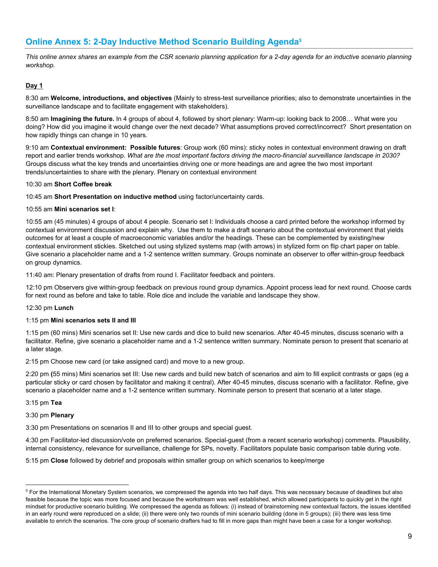## **Online Annex 5: 2-Day Inductive Method Scenario Building Agenda5**

*This online annex shares an example from the CSR scenario planning application for a 2-day agenda for an inductive scenario planning workshop.* 

#### **Day 1**

8:30 am **Welcome, introductions, and objectives** (Mainly to stress-test surveillance priorities; also to demonstrate uncertainties in the surveillance landscape and to facilitate engagement with stakeholders).

8:50 am **Imagining the future.** In 4 groups of about 4, followed by short plenary: Warm-up: looking back to 2008… What were you doing? How did you imagine it would change over the next decade? What assumptions proved correct/incorrect? Short presentation on how rapidly things can change in 10 years.

9:10 am **Contextual environment: Possible futures**: Group work (60 mins): sticky notes in contextual environment drawing on draft report and earlier trends workshop. *What are the most important factors driving the macro-financial surveillance landscape in 2030?* Groups discuss what the key trends and uncertainties driving one or more headings are and agree the two most important trends/uncertainties to share with the plenary. Plenary on contextual environment

#### 10:30 am **Short Coffee break**

10:45 am **Short Presentation on inductive method** using factor/uncertainty cards.

#### 10:55 am **Mini scenarios set I**:

10:55 am (45 minutes) 4 groups of about 4 people. Scenario set I: Individuals choose a card printed before the workshop informed by contextual environment discussion and explain why. Use them to make a draft scenario about the contextual environment that yields outcomes for at least a couple of macroeconomic variables and/or the headings. These can be complemented by existing/new contextual environment stickies. Sketched out using stylized systems map (with arrows) in stylized form on flip chart paper on table. Give scenario a placeholder name and a 1-2 sentence written summary. Groups nominate an observer to offer within-group feedback on group dynamics.

11:40 am: Plenary presentation of drafts from round I. Facilitator feedback and pointers.

12:10 pm Observers give within-group feedback on previous round group dynamics. Appoint process lead for next round. Choose cards for next round as before and take to table. Role dice and include the variable and landscape they show.

#### 12:30 pm **Lunch**

#### 1:15 pm **Mini scenarios sets II and III**

1:15 pm (60 mins) Mini scenarios set II: Use new cards and dice to build new scenarios. After 40-45 minutes, discuss scenario with a facilitator. Refine, give scenario a placeholder name and a 1-2 sentence written summary. Nominate person to present that scenario at a later stage.

2:15 pm Choose new card (or take assigned card) and move to a new group.

2:20 pm **(**55 mins) Mini scenarios set III: Use new cards and build new batch of scenarios and aim to fill explicit contrasts or gaps (eg a particular sticky or card chosen by facilitator and making it central). After 40-45 minutes, discuss scenario with a facilitator. Refine, give scenario a placeholder name and a 1-2 sentence written summary. Nominate person to present that scenario at a later stage.

#### 3:15 pm **Tea**

#### 3:30 pm **Plenary**

3:30 pm Presentations on scenarios II and III to other groups and special guest.

4:30 pm Facilitator-led discussion/vote on preferred scenarios. Special-guest (from a recent scenario workshop) comments. Plausibility, internal consistency, relevance for surveillance, challenge for SPs, novelty. Facilitators populate basic comparison table during vote.

5:15 pm **Close** followed by debrief and proposals within smaller group on which scenarios to keep/merge

<sup>&</sup>lt;sup>5</sup> For the International Monetary System scenarios, we compressed the agenda into two half days. This was necessary because of deadlines but also feasible because the topic was more focused and because the workstream was well established, which allowed participants to quickly get in the right mindset for productive scenario building. We compressed the agenda as follows: (i) instead of brainstorming new contextual factors, the issues identified in an early round were reproduced on a slide; (ii) there were only two rounds of mini scenario building (done in 5 groups); (iii) there was less time available to enrich the scenarios. The core group of scenario drafters had to fill in more gaps than might have been a case for a longer workshop.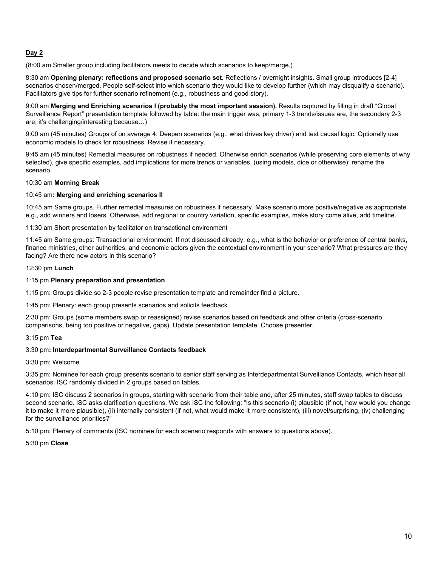#### **Day 2**

(8:00 am Smaller group including facilitators meets to decide which scenarios to keep/merge.)

8:30 am **Opening plenary: reflections and proposed scenario set.** Reflections / overnight insights. Small group introduces [2-4] scenarios chosen/merged. People self-select into which scenario they would like to develop further (which may disqualify a scenario). Facilitators give tips for further scenario refinement (e.g., robustness and good story).

9:00 am **Merging and Enriching scenarios I (probably the most important session).** Results captured by filling in draft "Global Surveillance Report" presentation template followed by table: the main trigger was, primary 1-3 trends/issues are, the secondary 2-3 are; it's challenging/interesting because…)

9:00 am (45 minutes) Groups of on average 4: Deepen scenarios (e.g., what drives key driver) and test causal logic. Optionally use economic models to check for robustness. Revise if necessary.

9:45 am (45 minutes) Remedial measures on robustness if needed. Otherwise enrich scenarios (while preserving core elements of why selected), give specific examples, add implications for more trends or variables, (using models, dice or otherwise); rename the scenario.

#### 10:30 am **Morning Break**

#### 10:45 am**: Merging and enriching scenarios II**

10:45 am Same groups. Further remedial measures on robustness if necessary. Make scenario more positive/negative as appropriate e.g., add winners and losers. Otherwise, add regional or country variation, specific examples, make story come alive, add timeline.

11:30 am Short presentation by facilitator on transactional environment

11:45 am Same groups: Transactional environment: If not discussed already: e.g., what is the behavior or preference of central banks, finance ministries, other authorities, and economic actors given the contextual environment in your scenario? What pressures are they facing? Are there new actors in this scenario?

#### 12:30 pm **Lunch**

#### 1:15 pm **Plenary preparation and presentation**

1:15 pm: Groups divide so 2-3 people revise presentation template and remainder find a picture.

1:45 pm: Plenary: each group presents scenarios and solicits feedback

2:30 pm: Groups (some members swap or reassigned) revise scenarios based on feedback and other criteria (cross-scenario comparisons, being too positive or negative, gaps). Update presentation template. Choose presenter.

#### 3:15 pm **Tea**

#### 3:30 pm**: Interdepartmental Surveillance Contacts feedback**

#### 3:30 pm: Welcome

3:35 pm: Nominee for each group presents scenario to senior staff serving as Interdepartmental Surveillance Contacts, which hear all scenarios. ISC randomly divided in 2 groups based on tables.

4:10 pm: ISC discuss 2 scenarios in groups, starting with scenario from their table and, after 25 minutes, staff swap tables to discuss second scenario. ISC asks clarification questions. We ask ISC the following: "Is this scenario (i) plausible (if not, how would you change it to make it more plausible), (ii) internally consistent (if not, what would make it more consistent), (iii) novel/surprising, (iv) challenging for the surveillance priorities?"

5:10 pm: Plenary of comments (ISC nominee for each scenario responds with answers to questions above).

5:30 pm **Close**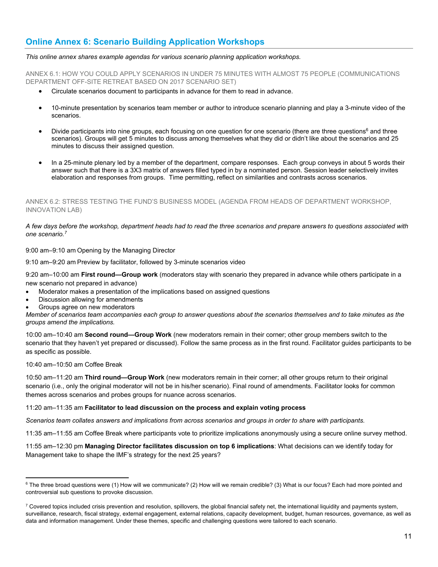## **Online Annex 6: Scenario Building Application Workshops**

#### *This online annex shares example agendas for various scenario planning application workshops.*

ANNEX 6.1: HOW YOU COULD APPLY SCENARIOS IN UNDER 75 MINUTES WITH ALMOST 75 PEOPLE (COMMUNICATIONS DEPARTMENT OFF-SITE RETREAT BASED ON 2017 SCENARIO SET)

- Circulate scenarios document to participants in advance for them to read in advance.
- 10-minute presentation by scenarios team member or author to introduce scenario planning and play a 3-minute video of the scenarios.
- Divide participants into nine groups, each focusing on one question for one scenario (there are three questions<sup>6</sup> and three scenarios). Groups will get 5 minutes to discuss among themselves what they did or didn't like about the scenarios and 25 minutes to discuss their assigned question.
- In a 25-minute plenary led by a member of the department, compare responses. Each group conveys in about 5 words their answer such that there is a 3X3 matrix of answers filled typed in by a nominated person. Session leader selectively invites elaboration and responses from groups. Time permitting, reflect on similarities and contrasts across scenarios.

ANNEX 6.2: STRESS TESTING THE FUND'S BUSINESS MODEL (AGENDA FROM HEADS OF DEPARTMENT WORKSHOP, INNOVATION LAB)

#### *A few days before the workshop, department heads had to read the three scenarios and prepare answers to questions associated with one scenario.7*

9:00 am–9:10 am Opening by the Managing Director

9:10 am–9:20 am Preview by facilitator, followed by 3-minute scenarios video

9:20 am–10:00 am **First round—Group work** (moderators stay with scenario they prepared in advance while others participate in a new scenario not prepared in advance)

- Moderator makes a presentation of the implications based on assigned questions
- Discussion allowing for amendments
- Groups agree on new moderators

*Member of scenarios team accompanies each group to answer questions about the scenarios themselves and to take minutes as the groups amend the implications.* 

10:00 am–10:40 am **Second round—Group Work** (new moderators remain in their corner; other group members switch to the scenario that they haven't yet prepared or discussed). Follow the same process as in the first round. Facilitator guides participants to be as specific as possible.

10:40 am–10:50 am Coffee Break

10:50 am–11:20 am **Third round—Group Work** (new moderators remain in their corner; all other groups return to their original scenario (i.e., only the original moderator will not be in his/her scenario). Final round of amendments. Facilitator looks for common themes across scenarios and probes groups for nuance across scenarios.

#### 11:20 am–11:35 am **Facilitator to lead discussion on the process and explain voting process**

*Scenarios team collates answers and implications from across scenarios and groups in order to share with participants.* 

11:35 am–11:55 am Coffee Break where participants vote to prioritize implications anonymously using a secure online survey method.

11:55 am–12:30 pm **Managing Director facilitates discussion on top 6 implications**: What decisions can we identify today for Management take to shape the IMF's strategy for the next 25 years?

 $^6$  The three broad questions were (1) How will we communicate? (2) How will we remain credible? (3) What is our focus? Each had more pointed and controversial sub questions to provoke discussion.

 $^7$  Covered topics included crisis prevention and resolution, spillovers, the global financial safety net, the international liquidity and payments system, surveillance, research, fiscal strategy, external engagement, external relations, capacity development, budget, human resources, governance, as well as data and information management. Under these themes, specific and challenging questions were tailored to each scenario.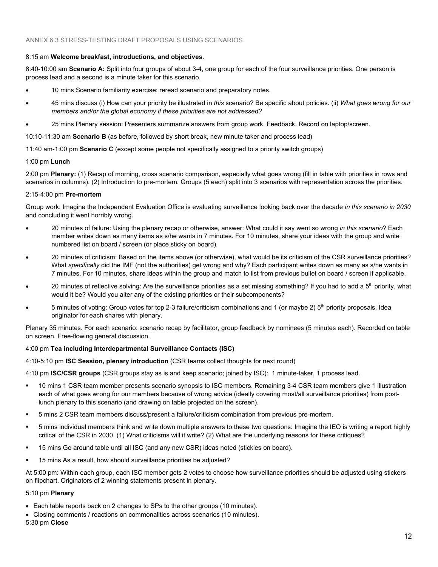#### 8:15 am **Welcome breakfast, introductions, and objectives**.

8:40-10:00 am **Scenario A:** Split into four groups of about 3-4, one group for each of the four surveillance priorities. One person is process lead and a second is a minute taker for this scenario.

- 10 mins Scenario familiarity exercise: reread scenario and preparatory notes.
- 45 mins discuss (i) How can your priority be illustrated in *this* scenario? Be specific about policies. (ii) *What goes wrong for our members and/or the global economy if these priorities are not addressed?*
- 25 mins Plenary session: Presenters summarize answers from group work. Feedback. Record on laptop/screen.

10:10-11:30 am **Scenario B** (as before, followed by short break, new minute taker and process lead)

11:40 am-1:00 pm **Scenario C** (except some people not specifically assigned to a priority switch groups)

#### 1:00 pm **Lunch**

2:00 pm **Plenary:** (1) Recap of morning, cross scenario comparison, especially what goes wrong (fill in table with priorities in rows and scenarios in columns). (2) Introduction to pre-mortem. Groups (5 each) split into 3 scenarios with representation across the priorities.

#### 2:15-4:00 pm **Pre-mortem**

Group work: Imagine the Independent Evaluation Office is evaluating surveillance looking back over the decade *in this scenario in 2030* and concluding it went horribly wrong.

- 20 minutes of failure: Using the plenary recap or otherwise, answer: What could it say went so wrong *in this scenario*? Each member writes down as many items as s/he wants in 7 minutes. For 10 minutes, share your ideas with the group and write numbered list on board / screen (or place sticky on board).
- 20 minutes of criticism: Based on the items above (or otherwise), what would be its criticism of the CSR surveillance priorities? What *specifically* did the IMF (not the authorities) get wrong and why? Each participant writes down as many as s/he wants in 7 minutes. For 10 minutes, share ideas within the group and match to list from previous bullet on board / screen if applicable.
- 20 minutes of reflective solving: Are the surveillance priorities as a set missing something? If you had to add a 5<sup>th</sup> priority, what would it be? Would you alter any of the existing priorities or their subcomponents?
- 5 minutes of voting: Group votes for top 2-3 failure/criticism combinations and 1 (or maybe 2) 5<sup>th</sup> priority proposals. Idea originator for each shares with plenary.

Plenary 35 minutes. For each scenario: scenario recap by facilitator, group feedback by nominees (5 minutes each). Recorded on table on screen. Free-flowing general discussion.

#### 4:00 pm **Tea including Interdepartmental Surveillance Contacts (ISC)**

4:10-5:10 pm **ISC Session, plenary introduction** (CSR teams collect thoughts for next round)

4:10 pm **ISC/CSR groups** (CSR groups stay as is and keep scenario; joined by ISC): 1 minute-taker, 1 process lead.

- 10 mins 1 CSR team member presents scenario synopsis to ISC members. Remaining 3-4 CSR team members give 1 illustration each of what goes wrong for our members because of wrong advice (ideally covering most/all surveillance priorities) from postlunch plenary to this scenario (and drawing on table projected on the screen).
- 5 mins 2 CSR team members discuss/present a failure/criticism combination from previous pre-mortem.
- 5 mins individual members think and write down multiple answers to these two questions: Imagine the IEO is writing a report highly critical of the CSR in 2030. (1) What criticisms will it write? (2) What are the underlying reasons for these critiques?
- 15 mins Go around table until all ISC (and any new CSR) ideas noted (stickies on board).
- **15 mins As a result, how should surveillance priorities be adjusted?**

At 5:00 pm: Within each group, each ISC member gets 2 votes to choose how surveillance priorities should be adjusted using stickers on flipchart. Originators of 2 winning statements present in plenary.

#### 5:10 pm **Plenary**

- Each table reports back on 2 changes to SPs to the other groups (10 minutes).
- Closing comments / reactions on commonalities across scenarios (10 minutes).

5:30 pm **Close**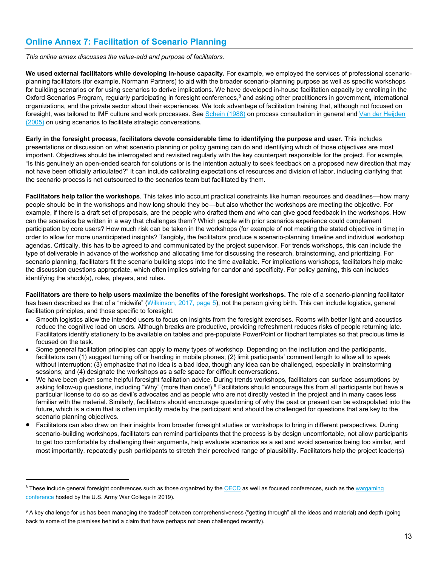## **Online Annex 7: Facilitation of Scenario Planning**

*This online annex discusses the value-add and purpose of facilitators.* 

**We used external facilitators while developing in-house capacity.** For example, we employed the services of professional scenarioplanning facilitators (for example, Normann Partners) to aid with the broader scenario-planning purpose as well as specific workshops for building scenarios or for using scenarios to derive implications. We have developed in-house facilitation capacity by enrolling in the Oxford Scenarios Program, regularly participating in foresight conferences,<sup>8</sup> and asking other practitioners in government, international organizations, and the private sector about their experiences. We took advantage of facilitation training that, although not focused on foresight, was tailored to IMF culture and work processes. See Schein (1988) on process consultation in general and Van der Heijden (2005) on using scenarios to facilitate strategic conversations.

**Early in the foresight process, facilitators devote considerable time to identifying the purpose and user.** This includes presentations or discussion on what scenario planning or policy gaming can do and identifying which of those objectives are most important. Objectives should be interrogated and revisited regularly with the key counterpart responsible for the project. For example, "Is this genuinely an open-ended search for solutions or is the intention actually to seek feedback on a proposed new direction that may not have been officially articulated?" It can include calibrating expectations of resources and division of labor, including clarifying that the scenario process is not outsourced to the scenarios team but facilitated by them.

**Facilitators help tailor the workshops***.* This takes into account practical constraints like human resources and deadlines––how many people should be in the workshops and how long should they be––but also whether the workshops are meeting the objective. For example, if there is a draft set of proposals, are the people who drafted them and who can give good feedback in the workshops. How can the scenarios be written in a way that challenges them? Which people with prior scenarios experience could complement participation by core users? How much risk can be taken in the workshops (for example of not meeting the stated objective in time) in order to allow for more unanticipated insights? Tangibly, the facilitators produce a scenario-planning timeline and individual workshop agendas. Critically, this has to be agreed to and communicated by the project supervisor. For trends workshops, this can include the type of deliverable in advance of the workshop and allocating time for discussing the research, brainstorming, and prioritizing. For scenario planning, facilitators fit the scenario building steps into the time available. For implications workshops, facilitators help make the discussion questions appropriate, which often implies striving for candor and specificity. For policy gaming, this can includes identifying the shock(s), roles, players, and rules.

**Facilitators are there to help users maximize the benefits of the foresight workshops.** The role of a scenario-planning facilitator has been described as that of a "midwife" (Wilkinson, 2017, page 5), not the person giving birth. This can include logistics, general facilitation principles, and those specific to foresight.

- Smooth logistics allow the intended users to focus on insights from the foresight exercises. Rooms with better light and acoustics reduce the cognitive load on users. Although breaks are productive, providing refreshment reduces risks of people returning late. Facilitators identify stationery to be available on tables and pre-populate PowerPoint or flipchart templates so that precious time is focused on the task.
- Some general facilitation principles can apply to many types of workshop. Depending on the institution and the participants, facilitators can (1) suggest turning off or handing in mobile phones; (2) limit participants' comment length to allow all to speak without interruption; (3) emphasize that no idea is a bad idea, though any idea can be challenged, especially in brainstorming sessions; and (4) designate the workshops as a safe space for difficult conversations.
- We have been given some helpful foresight facilitation advice. During trends workshops, facilitators can surface assumptions by asking follow-up questions, including "Why" (more than once!).<sup>9</sup> Facilitators should encourage this from all participants but have a particular license to do so as devil's advocates and as people who are not directly vested in the project and in many cases less familiar with the material. Similarly, facilitators should encourage questioning of why the past or present can be extrapolated into the future, which is a claim that is often implicitly made by the participant and should be challenged for questions that are key to the scenario planning objectives.
- Facilitators can also draw on their insights from broader foresight studies or workshops to bring in different perspectives. During scenario-building workshops, facilitators can remind participants that the process is by design uncomfortable, not allow participants to get too comfortable by challenging their arguments, help evaluate scenarios as a set and avoid scenarios being too similar, and most importantly, repeatedly push participants to stretch their perceived range of plausibility. Facilitators help the project leader(s)

 $8$  These include general foresight conferences such as those organized by the OECD as well as focused conferences, such as the wargaming conference hosted by the U.S. Army War College in 2019).

 $^9$  A key challenge for us has been managing the tradeoff between comprehensiveness ("getting through" all the ideas and material) and depth (going back to some of the premises behind a claim that have perhaps not been challenged recently).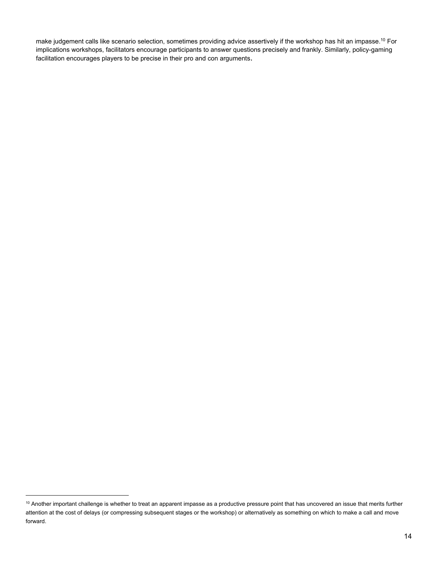make judgement calls like scenario selection, sometimes providing advice assertively if the workshop has hit an impasse.10 For implications workshops, facilitators encourage participants to answer questions precisely and frankly. Similarly, policy-gaming facilitation encourages players to be precise in their pro and con arguments.

 $10$  Another important challenge is whether to treat an apparent impasse as a productive pressure point that has uncovered an issue that merits further attention at the cost of delays (or compressing subsequent stages or the workshop) or alternatively as something on which to make a call and move forward.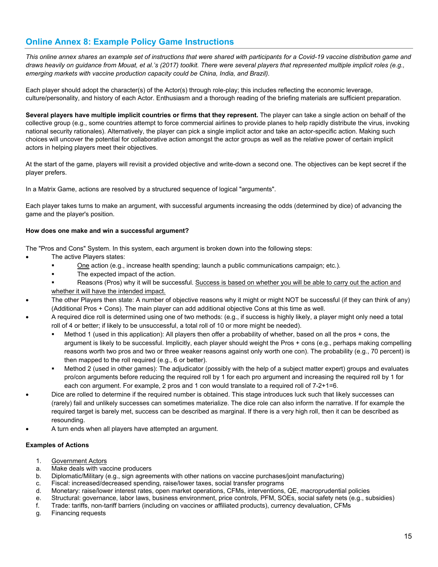## **Online Annex 8: Example Policy Game Instructions**

*This online annex shares an example set of instructions that were shared with participants for a Covid-19 vaccine distribution game and draws heavily on guidance from Mouat, et al.'s (2017) toolkit. There were several players that represented multiple implicit roles (e.g., emerging markets with vaccine production capacity could be China, India, and Brazil).* 

Each player should adopt the character(s) of the Actor(s) through role-play; this includes reflecting the economic leverage, culture/personality, and history of each Actor. Enthusiasm and a thorough reading of the briefing materials are sufficient preparation.

**Several players have multiple implicit countries or firms that they represent.** The player can take a single action on behalf of the collective group (e.g., some countries attempt to force commercial airlines to provide planes to help rapidly distribute the virus, invoking national security rationales). Alternatively, the player can pick a single implicit actor and take an actor-specific action. Making such choices will uncover the potential for collaborative action amongst the actor groups as well as the relative power of certain implicit actors in helping players meet their objectives.

At the start of the game, players will revisit a provided objective and write-down a second one. The objectives can be kept secret if the player prefers.

In a Matrix Game, actions are resolved by a structured sequence of logical "arguments".

Each player takes turns to make an argument, with successful arguments increasing the odds (determined by dice) of advancing the game and the player's position.

#### **How does one make and win a successful argument?**

The "Pros and Cons" System. In this system, each argument is broken down into the following steps:

- The active Players states:
	- One action (e.g., increase health spending; launch a public communications campaign; etc.).
	- The expected impact of the action.
	- Reasons (Pros) why it will be successful. Success is based on whether you will be able to carry out the action and whether it will have the intended impact.
- The other Players then state: A number of objective reasons why it might or might NOT be successful (if they can think of any) (Additional Pros + Cons). The main player can add additional objective Cons at this time as well.
- A required dice roll is determined using one of two methods: (e.g., if success is highly likely, a player might only need a total roll of 4 or better; if likely to be unsuccessful, a total roll of 10 or more might be needed).
	- Method 1 (used in this application): All players then offer a probability of whether, based on all the pros + cons, the argument is likely to be successful. Implicitly, each player should weight the Pros + cons (e.g., perhaps making compelling reasons worth two pros and two or three weaker reasons against only worth one con). The probability (e.g., 70 percent) is then mapped to the roll required (e.g., 6 or better).
	- Method 2 (used in other games): The adjudicator (possibly with the help of a subject matter expert) groups and evaluates pro/con arguments before reducing the required roll by 1 for each pro argument and increasing the required roll by 1 for each con argument. For example, 2 pros and 1 con would translate to a required roll of 7-2+1=6.
	- Dice are rolled to determine if the required number is obtained. This stage introduces luck such that likely successes can (rarely) fail and unlikely successes can sometimes materialize. The dice role can also inform the narrative. If for example the required target is barely met, success can be described as marginal. If there is a very high roll, then it can be described as resounding.
- A turn ends when all players have attempted an argument.

#### **Examples of Actions**

- 1. Government Actors
- a. Make deals with vaccine producers
- b. Diplomatic/Military (e.g., sign agreements with other nations on vaccine purchases/joint manufacturing)
- c. Fiscal: increased/decreased spending, raise/lower taxes, social transfer programs
- d. Monetary: raise/lower interest rates, open market operations, CFMs, interventions, QE, macroprudential policies
- e. Structural: governance, labor laws, business environment, price controls, PFM, SOEs, social safety nets (e.g., subsidies)
- f. Trade: tariffs, non-tariff barriers (including on vaccines or affiliated products), currency devaluation, CFMs
- g. Financing requests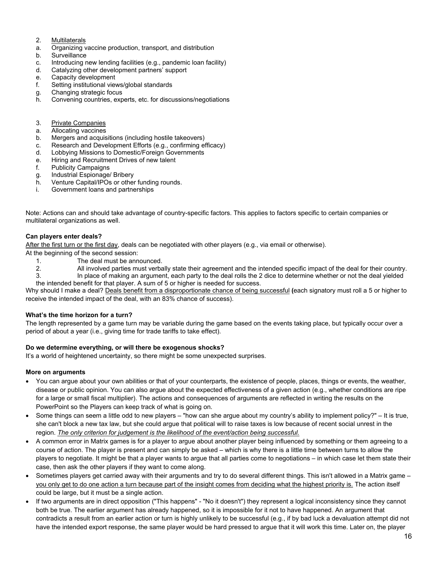- 2. Multilaterals
- a. Organizing vaccine production, transport, and distribution
- b. Surveillance
- c. Introducing new lending facilities (e.g., pandemic loan facility)
- d. Catalyzing other development partners' support
- e. Capacity development
- f. Setting institutional views/global standards
- g. Changing strategic focus
- h. Convening countries, experts, etc. for discussions/negotiations
- 3. Private Companies
- a. Allocating vaccines
- b. Mergers and acquisitions (including hostile takeovers)
- c. Research and Development Efforts (e.g., confirming efficacy)
- d. Lobbying Missions to Domestic/Foreign Governments
- e. Hiring and Recruitment Drives of new talent
- f. Publicity Campaigns
- g. Industrial Espionage/ Bribery
- h. Venture Capital/IPOs or other funding rounds.
- i. Government loans and partnerships

Note: Actions can and should take advantage of country-specific factors. This applies to factors specific to certain companies or multilateral organizations as well.

#### **Can players enter deals?**

After the first turn or the first day, deals can be negotiated with other players (e.g., via email or otherwise).

At the beginning of the second session:

- 1. The deal must be announced.
- 2. All involved parties must verbally state their agreement and the intended specific impact of the deal for their country.
- 3. In place of making an argument, each party to the deal rolls the 2 dice to determine whether or not the deal yielded the intended benefit for that player. A sum of 5 or higher is needed for success.

Why should I make a deal? Deals benefit from a disproportionate chance of being successful **(**each signatory must roll a 5 or higher to receive the intended impact of the deal, with an 83% chance of success).

#### **What's the time horizon for a turn?**

The length represented by a game turn may be variable during the game based on the events taking place, but typically occur over a period of about a year (i.e., giving time for trade tariffs to take effect).

#### **Do we determine everything, or will there be exogenous shocks?**

It's a world of heightened uncertainty, so there might be some unexpected surprises.

#### **More on arguments**

- You can argue about your own abilities or that of your counterparts, the existence of people, places, things or events, the weather, disease or public opinion. You can also argue about the expected effectiveness of a given action (e.g., whether conditions are ripe for a large or small fiscal multiplier). The actions and consequences of arguments are reflected in writing the results on the PowerPoint so the Players can keep track of what is going on.
- Some things can seem a little odd to new players "how can she argue about my country's ability to implement policy?" It is true, she can't block a new tax law, but she could argue that political will to raise taxes is low because of recent social unrest in the region. *The only criterion for judgement is the likelihood of the event/action being successful.*
- A common error in Matrix games is for a player to argue about another player being influenced by something or them agreeing to a course of action. The player is present and can simply be asked – which is why there is a little time between turns to allow the players to negotiate. It might be that a player wants to argue that all parties come to negotiations – in which case let them state their case, then ask the other players if they want to come along.
- Sometimes players get carried away with their arguments and try to do several different things. This isn't allowed in a Matrix game you only get to do one action a turn because part of the insight comes from deciding what the highest priority is. The action itself could be large, but it must be a single action.
- If two arguments are in direct opposition ("This happens" "No it doesn't") they represent a logical inconsistency since they cannot both be true. The earlier argument has already happened, so it is impossible for it not to have happened. An argument that contradicts a result from an earlier action or turn is highly unlikely to be successful (e.g., if by bad luck a devaluation attempt did not have the intended export response, the same player would be hard pressed to argue that it will work this time. Later on, the player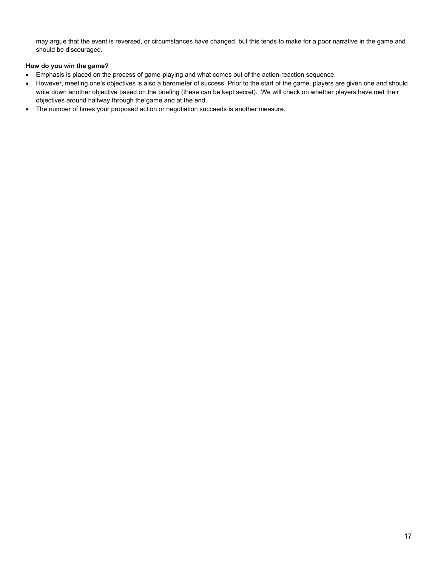may argue that the event is reversed, or circumstances have changed, but this tends to make for a poor narrative in the game and should be discouraged.

#### **How do you win the game?**

- Emphasis is placed on the process of game-playing and what comes out of the action-reaction sequence.
- However, meeting one's objectives is also a barometer of success. Prior to the start of the game, players are given one and should write down another objective based on the briefing (these can be kept secret). We will check on whether players have met their objectives around halfway through the game and at the end.
- The number of times your proposed action or negotiation succeeds is another measure.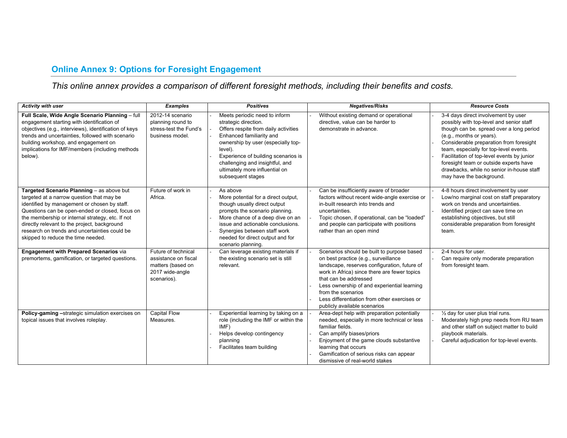## **Online Annex 9: Options for Foresight Engagement**

## *This online annex provides a comparison of different foresight methods, including their benefits and costs.*

| Activity with user                                                                                                                                                                                                                                                                                                                                                                   | <b>Examples</b>                                                                                    | <b>Positives</b>                                                                                                                                                                                                                                                                                            | <b>Negatives/Risks</b>                                                                                                                                                                                                                                                                                                                                           | <b>Resource Costs</b>                                                                                                                                                                                                                                                                                                                                                                                         |
|--------------------------------------------------------------------------------------------------------------------------------------------------------------------------------------------------------------------------------------------------------------------------------------------------------------------------------------------------------------------------------------|----------------------------------------------------------------------------------------------------|-------------------------------------------------------------------------------------------------------------------------------------------------------------------------------------------------------------------------------------------------------------------------------------------------------------|------------------------------------------------------------------------------------------------------------------------------------------------------------------------------------------------------------------------------------------------------------------------------------------------------------------------------------------------------------------|---------------------------------------------------------------------------------------------------------------------------------------------------------------------------------------------------------------------------------------------------------------------------------------------------------------------------------------------------------------------------------------------------------------|
| Full Scale, Wide Angle Scenario Planning - full<br>engagement starting with identification of<br>objectives (e.g., interviews), identification of keys<br>trends and uncertainties, followed with scenario<br>building workshop, and engagement on<br>implications for IMF/members (including methods<br>below).                                                                     | 2012-14 scenario<br>planning round to<br>stress-test the Fund's<br>business model.                 | Meets periodic need to inform<br>strategic direction.<br>Offers respite from daily activities<br>Enhanced familiarity and<br>ownership by user (especially top-<br>level).<br>Experience of building scenarios is<br>challenging and insightful, and<br>ultimately more influential on<br>subsequent stages | Without existing demand or operational<br>directive, value can be harder to<br>demonstrate in advance.                                                                                                                                                                                                                                                           | 3-4 days direct involvement by user<br>possibly with top-level and senior staff<br>though can be. spread over a long period<br>(e.g., months or years).<br>Considerable preparation from foresight<br>team, especially for top-level events.<br>Facilitation of top-level events by junior<br>foresight team or outside experts have<br>drawbacks, while no senior in-house staff<br>may have the background. |
| Targeted Scenario Planning - as above but<br>targeted at a narrow question that may be<br>identified by management or chosen by staff.<br>Questions can be open-ended or closed, focus on<br>the membership or internal strategy, etc. If not<br>directly relevant to the project, background<br>research on trends and uncertainties could be<br>skipped to reduce the time needed. | Future of work in<br>Africa.                                                                       | As above<br>More potential for a direct output,<br>though usually direct output<br>prompts the scenario planning.<br>More chance of a deep dive on an<br>issue and actionable conclusions.<br>Synergies between staff work<br>needed for direct output and for<br>scenario planning.                        | Can be insufficiently aware of broader<br>factors without recent wide-angle exercise or<br>in-built research into trends and<br>uncertainties.<br>Topic chosen, if operational, can be "loaded"<br>and people can participate with positions<br>rather than an open mind                                                                                         | 4-8 hours direct involvement by user<br>Low/no marginal cost on staff preparatory<br>work on trends and uncertainties.<br>Identified project can save time on<br>establishing objectives, but still<br>considerable preparation from foresight<br>team.                                                                                                                                                       |
| <b>Engagement with Prepared Scenarios via</b><br>premortems, gamification, or targeted questions.                                                                                                                                                                                                                                                                                    | Future of technical<br>assistance on fiscal<br>matters (based on<br>2017 wide-angle<br>scenarios). | Can leverage existing materials if<br>the existing scenario set is still<br>relevant.                                                                                                                                                                                                                       | Scenarios should be built to purpose based<br>on best practice (e.g., surveillance<br>landscape, reserves configuration, future of<br>work in Africa) since there are fewer topics<br>that can be addressed<br>Less ownership of and experiential learning<br>from the scenarios<br>Less differentiation from other exercises or<br>publicly available scenarios | 2-4 hours for user.<br>Can require only moderate preparation<br>from foresight team.                                                                                                                                                                                                                                                                                                                          |
| Policy-gaming -strategic simulation exercises on<br>topical issues that involves roleplay.                                                                                                                                                                                                                                                                                           | <b>Capital Flow</b><br>Measures.                                                                   | Experiential learning by taking on a<br>role (including the IMF or within the<br>IMF)<br>Helps develop contingency<br>planning<br>Facilitates team building                                                                                                                                                 | Area-dept help with preparation potentially<br>needed, especially in more technical or less<br>familiar fields.<br>Can amplify biases/priors<br>Enjoyment of the game clouds substantive<br>learning that occurs<br>Gamification of serious risks can appear<br>dismissive of real-world stakes                                                                  | $\frac{1}{2}$ day for user plus trial runs.<br>Moderately high prep needs from RU team<br>and other staff on subject matter to build<br>playbook materials.<br>Careful adjudication for top-level events.                                                                                                                                                                                                     |